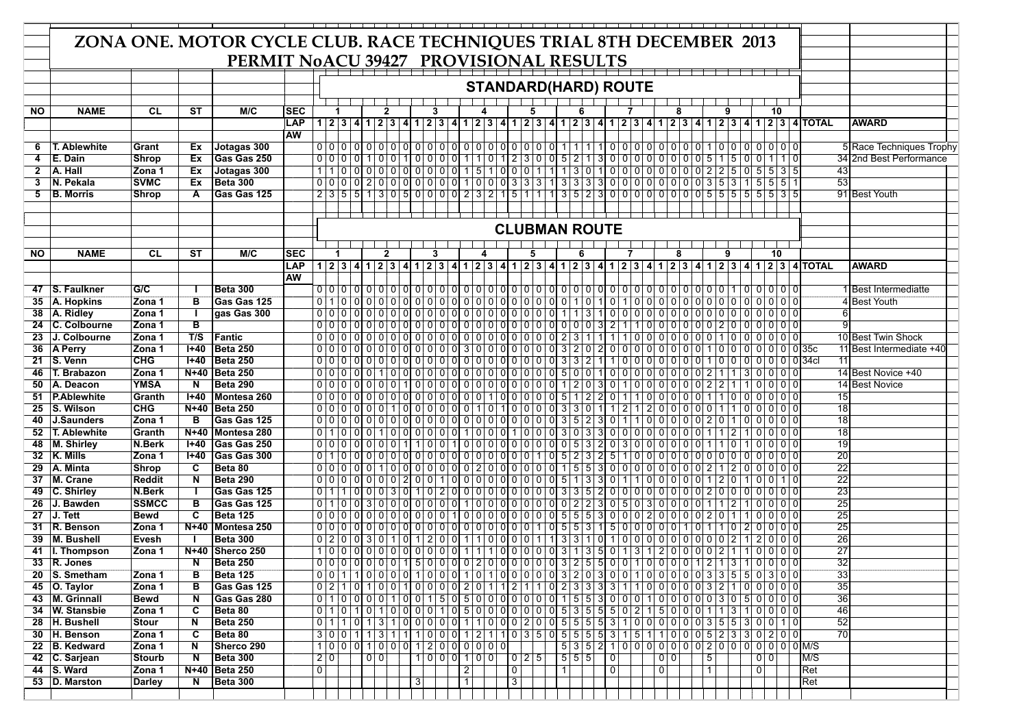|           | ZONA ONE. MOTOR CYCLE CLUB. RACE TECHNIQUES TRIAL 8TH DECEMBER 2013 |                       |                |                                   |                                        |                |                                                           |                |              |       |                |   |  |                |          |  |                                                     |  |     |                   |                                                                                                                                                             |                |                           |                      |                      |                   |   |         |                            |           |                                                                                                               |                                                     |  |
|-----------|---------------------------------------------------------------------|-----------------------|----------------|-----------------------------------|----------------------------------------|----------------|-----------------------------------------------------------|----------------|--------------|-------|----------------|---|--|----------------|----------|--|-----------------------------------------------------|--|-----|-------------------|-------------------------------------------------------------------------------------------------------------------------------------------------------------|----------------|---------------------------|----------------------|----------------------|-------------------|---|---------|----------------------------|-----------|---------------------------------------------------------------------------------------------------------------|-----------------------------------------------------|--|
|           |                                                                     |                       |                |                                   | PERMIT NoACU 39427 PROVISIONAL RESULTS |                |                                                           |                |              |       |                |   |  |                |          |  |                                                     |  |     |                   |                                                                                                                                                             |                |                           |                      |                      |                   |   |         |                            |           |                                                                                                               |                                                     |  |
|           |                                                                     |                       |                |                                   |                                        |                |                                                           |                |              |       |                |   |  |                |          |  |                                                     |  |     |                   |                                                                                                                                                             |                |                           |                      |                      |                   |   |         |                            |           |                                                                                                               |                                                     |  |
|           |                                                                     |                       |                |                                   |                                        |                |                                                           |                |              |       |                |   |  |                |          |  |                                                     |  |     |                   | <b>STANDARD(HARD) ROUTE</b>                                                                                                                                 |                |                           |                      |                      |                   |   |         |                            |           |                                                                                                               |                                                     |  |
|           |                                                                     |                       |                |                                   |                                        |                |                                                           |                |              |       |                |   |  |                |          |  |                                                     |  |     |                   |                                                                                                                                                             |                |                           |                      |                      |                   |   |         |                            |           |                                                                                                               |                                                     |  |
| <b>NO</b> | <b>NAME</b>                                                         | <b>CL</b>             | ST             | M/C                               | <b>SEC</b>                             |                |                                                           |                | 2            |       |                |   |  |                |          |  |                                                     |  |     |                   |                                                                                                                                                             |                |                           |                      |                      |                   |   |         |                            | 10        |                                                                                                               |                                                     |  |
|           |                                                                     |                       |                |                                   | <b>LAP</b>                             |                |                                                           |                |              |       |                |   |  |                |          |  |                                                     |  |     |                   |                                                                                                                                                             |                |                           |                      |                      |                   |   |         |                            |           | $1 2 3 4 1 2 3 4 1 2 3 4 1 2 3 4 1 2 3 4 1 2 3 4 1 2 3 4 1 2 3 4 1 2 3 4 1 2 3 4 1 23 4 12 3 4 $ TOTAL        | <b>AWARD</b>                                        |  |
|           |                                                                     |                       |                |                                   | <b>AW</b>                              |                |                                                           |                |              |       |                |   |  |                |          |  |                                                     |  |     |                   |                                                                                                                                                             |                |                           |                      |                      |                   |   |         |                            |           |                                                                                                               |                                                     |  |
| 6<br>4    | T. Ablewhite<br>E. Dain                                             | Grant<br><b>Shrop</b> | Ex<br>Ex       | Jotagas 300<br><b>Gas Gas 250</b> |                                        |                | 0 0 0 0                                                   |                |              |       |                |   |  |                |          |  | $100110000011101123000521$                          |  |     |                   |                                                                                                                                                             |                | 3000000000051             |                      |                      |                   |   | 1510101 |                            |           |                                                                                                               | 5 Race Techniques Trophy<br>34 2nd Best Performance |  |
| 2         | A. Hall                                                             | Zona 1                | Ex             | Jotagas 300                       |                                        |                | $\mathbf 0$                                               |                | 0 0          | l 0 l |                |   |  |                |          |  | 000000151000111                                     |  |     | $1 \mid 3 \mid 0$ |                                                                                                                                                             |                | $0000000000000225005535$  |                      |                      |                   |   |         |                            |           | 43                                                                                                            |                                                     |  |
| 3         | <b>N. Pekala</b>                                                    | <b>SVMC</b>           | Ex             | Beta 300                          |                                        |                |                                                           |                |              |       |                |   |  |                |          |  |                                                     |  |     |                   | $0   0   0   0   0   0   0   0   0   0   0   0   0   1   0   0   0   3   3   3   1   3   3   3   3   0   0   0   0   0   0   0   3   5   3   1   5   5   1$ |                |                           |                      |                      |                   |   |         |                            |           | 53                                                                                                            |                                                     |  |
| 5         | <b>B.</b> Morris                                                    | <b>Shrop</b>          | A              | Gas Gas 125                       |                                        |                |                                                           |                |              |       |                |   |  |                |          |  |                                                     |  |     |                   | $2355130500000232151113523000000055555535$                                                                                                                  |                |                           |                      |                      |                   |   |         |                            |           |                                                                                                               | 91 Best Youth                                       |  |
|           |                                                                     |                       |                |                                   |                                        |                |                                                           |                |              |       |                |   |  |                |          |  |                                                     |  |     |                   |                                                                                                                                                             |                |                           |                      |                      |                   |   |         |                            |           |                                                                                                               |                                                     |  |
|           |                                                                     |                       |                |                                   |                                        |                |                                                           |                |              |       |                |   |  |                |          |  |                                                     |  |     |                   |                                                                                                                                                             |                |                           |                      |                      |                   |   |         |                            |           |                                                                                                               |                                                     |  |
|           |                                                                     |                       |                |                                   |                                        |                | <b>CLUBMAN ROUTE</b>                                      |                |              |       |                |   |  |                |          |  |                                                     |  |     |                   |                                                                                                                                                             |                |                           |                      |                      |                   |   |         |                            |           |                                                                                                               |                                                     |  |
|           |                                                                     |                       |                |                                   |                                        |                |                                                           |                |              |       |                |   |  |                |          |  |                                                     |  |     |                   |                                                                                                                                                             |                |                           |                      |                      |                   |   |         |                            |           |                                                                                                               |                                                     |  |
| <b>NO</b> | <b>NAME</b>                                                         | <b>CL</b>             | <b>ST</b>      | M/C                               | <b>ISEC</b>                            |                |                                                           |                | $\mathbf{2}$ |       |                | 3 |  |                |          |  |                                                     |  |     |                   |                                                                                                                                                             |                |                           |                      | 8                    |                   | 9 |         |                            | 10        |                                                                                                               |                                                     |  |
|           |                                                                     |                       |                |                                   | <b>LAP</b>                             |                |                                                           |                |              |       |                |   |  |                |          |  |                                                     |  |     |                   |                                                                                                                                                             |                |                           |                      |                      |                   |   |         |                            |           | 1 2 3 4 1 2 3 4 1 2 3 4 1 2 3 4 1 2 3 4 1 2 3 4 1 2 3 4 1 2 3 4 1 2 3 4 1 2 3 4 1 2 3 4 1 2 3 4 1 2 3 4 1 2 3 | <b>AWARD</b>                                        |  |
|           |                                                                     |                       |                | Beta 300                          | <b>AW</b>                              |                |                                                           |                |              |       |                |   |  |                |          |  |                                                     |  |     |                   |                                                                                                                                                             |                |                           |                      |                      |                   |   |         |                            |           |                                                                                                               |                                                     |  |
| 35        | 47 S. Faulkner<br>A. Hopkins                                        | G/C<br>Zona 1         | в              | Gas Gas 125                       |                                        |                |                                                           |                |              |       |                |   |  |                |          |  |                                                     |  |     |                   |                                                                                                                                                             |                |                           | 000000000000000      |                      |                   |   |         |                            |           |                                                                                                               | 1 Best Intermediatte<br>4 Best Youth                |  |
| 38        | A. Ridley                                                           | Zona 1                |                | gas Gas 300                       |                                        |                |                                                           |                |              |       |                |   |  |                |          |  |                                                     |  |     | 1 1 3             |                                                                                                                                                             | 1000           |                           | 0 0                  |                      |                   |   |         | 00000000000000             |           |                                                                                                               |                                                     |  |
| 24        | C. Colbourne                                                        | Zona 1                | в              |                                   |                                        |                | 00000000000000000000000000000000                          |                |              |       |                |   |  |                |          |  |                                                     |  |     |                   | 3I                                                                                                                                                          | 2              | 1   1                     | 000000000200000000   |                      |                   |   |         |                            |           |                                                                                                               |                                                     |  |
| 23        | J. Colbourne                                                        | Zona 1                | T/S            | Fantic                            |                                        |                | 0000000000000000000000000                                 |                |              |       |                |   |  |                |          |  |                                                     |  |     | 2 3               | $\mathbf{1}$                                                                                                                                                |                | 1 0                       | 0 <br>ΟI             | 0 I                  |                   |   |         | 0000110000000              |           |                                                                                                               | 10 Best Twin Shock                                  |  |
| 36        | <b>A Perry</b>                                                      | Zona 1                | $1 + 40$       | Beta 250                          |                                        |                | 0000000000000000030000000000320                           |                |              |       |                |   |  |                |          |  |                                                     |  |     |                   | $\overline{2}$                                                                                                                                              |                | 0 0 0 0 0 0 0             |                      |                      |                   |   |         |                            |           |                                                                                                               | 11 Best Intermediate +40                            |  |
|           | 21 S. Venn                                                          | <b>CHG</b>            | $I + 40$       | <b>Beta 250</b>                   |                                        |                | 0 0 0                                                     | $\overline{0}$ | 0            | l 0 l |                |   |  |                |          |  | 0 0 0 0 0 0 0 0 0 0 0 0 0                           |  |     | $3 \mid 3 \mid 2$ |                                                                                                                                                             | 1 0            | $\overline{0}$            | 0 <br>01             | 01<br>0              |                   |   |         | 0 1 0 0 0 0 0 0 0 0 0 34 0 |           | 11                                                                                                            |                                                     |  |
| 46        | T. Brabazon                                                         | Zona 1                | N+40           | Beta 250                          |                                        |                | 00000001000000000000000000000                             |                |              |       |                |   |  |                |          |  |                                                     |  |     | 5 0 0             |                                                                                                                                                             | 0 0            |                           | 000000               |                      | 01211             |   |         | 3 0 0 0 0                  |           |                                                                                                               | 14 Best Novice +40                                  |  |
| 50        | A. Deacon                                                           | <b>YMSA</b>           | N              | Beta 290                          |                                        |                | 0000000001000000000000000                                 |                |              |       |                |   |  |                |          |  |                                                     |  |     | 1 2 0             | 31                                                                                                                                                          |                | 0 1 0                     | ΩI<br>0 <sup>1</sup> | $\Omega$<br>$\Omega$ | $012$   2   1   1 |   |         | $0 0 0 0 0$                |           |                                                                                                               | 14 Best Novice                                      |  |
|           | 51   P.Ablewhite                                                    | Granth                | $I + 40$       | Montesa 260                       |                                        |                | $0 0 0 0 0 0 0 0 0 0 0 0 0 0 0 0 0 1 1 0 0 0 0 0 0 5 1 2$ |                |              |       |                |   |  |                |          |  |                                                     |  |     |                   | $\overline{2}$                                                                                                                                              | 01             |                           | 0 <sup>1</sup>       | 0 0                  |                   |   |         | 10000000                   |           | 15                                                                                                            |                                                     |  |
| 25        | S. Wilson                                                           | <b>CHG</b>            |                | N+40   Beta 250                   |                                        |                | $0 0 0 0 0 0 0 1 0 1 0 0 0 0 0 0 0 0$                     |                |              |       |                |   |  |                |          |  | 1 0 1 0 0 0 0                                       |  |     | 3 3 0             |                                                                                                                                                             |                | $\overline{2}$            | 0 <br>21             | $\Omega$<br>0        | 0 I O             |   |         | $\Omega$                   | 0   0   0 | 18                                                                                                            |                                                     |  |
| 40        | J.Saunders                                                          | Zona 1                | в              | Gas Gas 125                       |                                        |                | 0 1 0 0 0 1 0 0 0 0 0 0 1 0 0 0 1 0 0 0 1                 |                |              |       |                |   |  |                |          |  |                                                     |  |     |                   | 3I                                                                                                                                                          |                | 0 1 1 0 0 0 0 0 2 0 1     |                      |                      |                   |   |         | 0   0   0   0   0          |           | 18<br>$\overline{18}$                                                                                         |                                                     |  |
| 52        | <b>T. Ablewhite</b><br>48 M. Shirley                                | Granth<br>N.Berk      | $N+40$<br>l+40 | Montesa 280<br> Gas Gas 250       |                                        |                | 0000000001100110000000000000                              |                |              |       |                |   |  |                |          |  |                                                     |  |     | 3 0               | $\mathbf{3}$<br>3I<br>$\overline{2}$                                                                                                                        |                | 0000000<br>0 3 0 <br>l Ol |                      | . O I<br>0 0 0       |                   |   |         | $0 0 0 0$                  | 000       | 19                                                                                                            |                                                     |  |
|           | 32 K. Mills                                                         | Zona 1                | $I + 40$       | Gas Gas 300                       |                                        |                | 0 1 0                                                     | 0 0 0          |              | 10 I  |                |   |  |                |          |  | $0   0   0   0   0   0   0   0   0   0   0   0   0$ |  | 1 0 | $5 \mid 2 \mid 3$ | $\overline{2}$                                                                                                                                              | 5              | 1 0                       | 0 <br>01             | $\Omega$<br>0        |                   |   |         | 00000                      |           | 20                                                                                                            |                                                     |  |
| 29        | A. Minta                                                            | <b>Shrop</b>          | C              | Beta 80                           |                                        |                | 00000                                                     |                |              |       |                |   |  |                |          |  | $0 1 0 0 0 0 0 0 0 0 2 0 0 0 0 0 0 0 0$             |  |     | 1 5               | 5<br>3                                                                                                                                                      |                | 0 0 0                     | 00000                |                      |                   |   |         | 2 0 0 0 0 0                |           | $\overline{22}$                                                                                               |                                                     |  |
| 37        | M. Crane                                                            | <b>Reddit</b>         | N              | Beta 290                          |                                        |                |                                                           |                |              |       |                |   |  |                |          |  |                                                     |  |     |                   | 3                                                                                                                                                           | $\overline{0}$ | 1 1                       | 0 <sup>1</sup><br>ΩI |                      |                   |   |         | 0 0 0 1 2 0 1 0 0 1 0      |           | $\overline{22}$                                                                                               |                                                     |  |
|           | 49 C. Shirley                                                       | N.Berk                |                | Gas Gas 125                       |                                        | 0 1            |                                                           |                |              |       |                |   |  |                |          |  | $0 0 0 3 0 1 0 2 0 0 0 0 0 0 0 0 0 0 3 3 5$         |  |     |                   | $\overline{2}$                                                                                                                                              |                | 000000000020000000        |                      |                      |                   |   |         |                            |           | 23                                                                                                            |                                                     |  |
| 26        | J. Bawden                                                           | <b>SSMCC</b>          | в              | <b>Gas Gas 125</b>                |                                        |                | 0 1 0                                                     |                |              |       |                |   |  |                |          |  | $30000000000101000000000$                           |  |     | 0                 | 2 2<br>3I                                                                                                                                                   | 0 5            | $\overline{0}$            | $\overline{0}$<br>31 | . O I<br>. O I       |                   |   |         |                            | 0 0 0     | $\overline{25}$                                                                                               |                                                     |  |
| 27        | J. Tett                                                             | <b>Bewd</b>           | C              | Beta 125                          |                                        |                |                                                           |                |              |       |                |   |  |                |          |  |                                                     |  |     |                   | 31                                                                                                                                                          |                | 0 0 0                     | 2I                   | 0 0 0                | 0121011           |   |         | $0 0 0 0$                  |           | 25                                                                                                            |                                                     |  |
|           | 31 R. Benson                                                        | Zona 1                |                | N+40 Montesa 250                  |                                        |                |                                                           |                |              |       |                |   |  |                |          |  |                                                     |  |     |                   | 3                                                                                                                                                           |                | 5000000                   |                      |                      | 1 0 1 1           |   |         |                            |           | $\overline{25}$                                                                                               |                                                     |  |
| 39        | M. Bushell                                                          | Evesh                 |                | <b>Beta 300</b>                   |                                        |                | 0 2 0 0 3 0 1 0 1 2 0 0 1 1 0 0 0 0 0 1 1                 |                |              |       |                |   |  |                |          |  |                                                     |  |     |                   | 3 3 1 0                                                                                                                                                     |                | 100000000000021           |                      |                      |                   |   |         | 2 0 0 0                    |           | $\overline{26}$                                                                                               |                                                     |  |
| 41        | I. Thompson                                                         | Zona 1                | N+40           | Sherco 250                        |                                        |                |                                                           |                |              |       |                |   |  |                |          |  |                                                     |  |     |                   | 100000000000011100000313501312000021100000                                                                                                                  |                |                           |                      |                      |                   |   |         |                            |           | $\overline{27}$<br>$\overline{32}$                                                                            |                                                     |  |
|           | 33 R. Jones<br>20 S. Smetham                                        |                       | N<br>в         | Beta 250                          |                                        |                |                                                           |                |              |       |                |   |  |                |          |  |                                                     |  |     |                   | $0$ 0 0 0 0 0 0 0 0 0 1 5 0 0 0 0 0 2 0 0 0 0 0 0 0 0 0 0 3 2 5 5 0 0 1 0 0 0 0 0 1 2 1 3 1 0 0 0 0 0                                                       |                |                           |                      |                      |                   |   |         |                            |           | 33                                                                                                            |                                                     |  |
|           | 45 O. Taylor                                                        | Zona 1<br>Zona 1      | в              | Beta 125<br><b>Gas Gas 125</b>    |                                        |                |                                                           |                |              |       |                |   |  |                |          |  |                                                     |  |     |                   |                                                                                                                                                             |                |                           |                      |                      |                   |   |         |                            |           | $\overline{35}$                                                                                               |                                                     |  |
|           | 43 M. Grinnall                                                      | <b>Bewd</b>           | N              | Gas Gas 280                       |                                        |                |                                                           |                |              |       |                |   |  |                |          |  |                                                     |  |     |                   |                                                                                                                                                             |                |                           |                      |                      |                   |   |         |                            |           | 36                                                                                                            |                                                     |  |
|           | 34 W. Stansbie                                                      | Zona 1                | C              | Beta 80                           |                                        |                |                                                           |                |              |       |                |   |  |                |          |  |                                                     |  |     |                   |                                                                                                                                                             |                |                           |                      |                      |                   |   |         |                            |           | 46                                                                                                            |                                                     |  |
|           | 28 H. Bushell                                                       | <b>Stour</b>          | N              | Beta 250                          |                                        |                |                                                           |                |              |       |                |   |  |                |          |  |                                                     |  |     |                   | 0 1 1 0 1 3 1 0 0 0 0 0 1 1 0 0 0 2 0 0 5 5 6 7 8 0 0 0 0 0 0 3 5 5 3 0 0 1 0                                                                               |                |                           |                      |                      |                   |   |         |                            |           | 52                                                                                                            |                                                     |  |
|           | 30 H. Benson                                                        | Zona 1                | C              | Beta 80                           |                                        |                |                                                           |                |              |       |                |   |  |                |          |  |                                                     |  |     |                   | 3 0 0 1 1 3 1 1 1 0 0 0 1 2 1 1 0 3 5 0 5 5 5 6 7 8 7 1 0 0 0 5 2 3 3 0 2 0 0                                                                               |                |                           |                      |                      |                   |   |         |                            |           | 70                                                                                                            |                                                     |  |
|           | 22 B. Kedward                                                       | Zona 1                | N              | Sherco 290                        |                                        |                | 100010001200000                                           |                |              |       |                |   |  |                |          |  |                                                     |  |     |                   |                                                                                                                                                             |                |                           |                      |                      |                   |   |         |                            |           |                                                                                                               |                                                     |  |
|           | 42 C. Sarjean                                                       | <b>Stourb</b>         | N              | <b>Beta 300</b>                   |                                        | 20             |                                                           |                | $0$ 0        |       |                |   |  |                | 10001100 |  | 0 2 5                                               |  |     | 555               |                                                                                                                                                             |                |                           |                      |                      |                   |   |         |                            |           |                                                                                                               |                                                     |  |
|           | 44 S. Ward                                                          | Zona 1                |                | N+40 Beta 250                     |                                        | $\overline{0}$ |                                                           |                |              |       |                |   |  | $\overline{2}$ |          |  | $\boxed{0}$                                         |  |     | $\top$            |                                                                                                                                                             | $\overline{0}$ |                           | $\overline{0}$       |                      | $\vert$ 1 $\vert$ |   |         | $\overline{0}$             |           | Ret                                                                                                           |                                                     |  |
|           | 53 D. Marston                                                       | <b>Darley</b>         | N              | <b>Beta 300</b>                   |                                        |                |                                                           |                |              |       | $\overline{3}$ |   |  | $\overline{1}$ |          |  | $\overline{3}$                                      |  |     |                   |                                                                                                                                                             |                |                           |                      |                      |                   |   |         |                            |           | Ret                                                                                                           |                                                     |  |
|           |                                                                     |                       |                |                                   |                                        |                |                                                           |                |              |       |                |   |  |                |          |  |                                                     |  |     |                   |                                                                                                                                                             |                |                           |                      |                      |                   |   |         |                            |           |                                                                                                               |                                                     |  |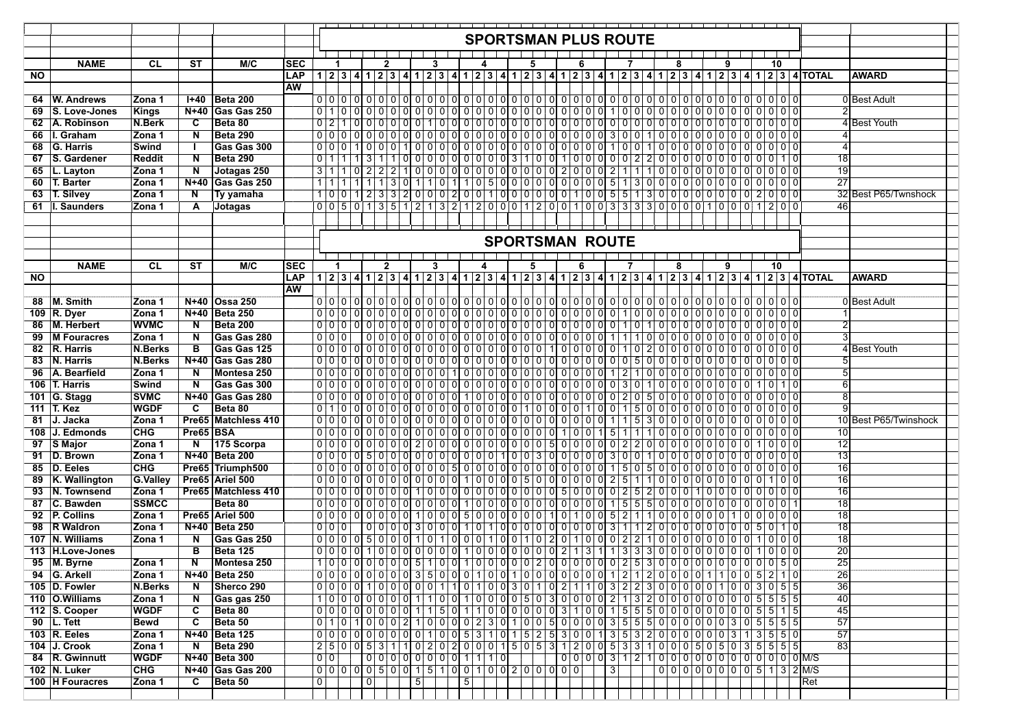|           |                   |                 |                         |                     |            |                        |                                                 |                    |                   |              |                |  |     |                |  |                             |  |   |  |                                   |     |     |                | <b>SPORTSMAN PLUS ROUTE</b>      |       |   |                                                                                                                                                             |   |          |    |                 |                                                                                                                |                 |                       |  |
|-----------|-------------------|-----------------|-------------------------|---------------------|------------|------------------------|-------------------------------------------------|--------------------|-------------------|--------------|----------------|--|-----|----------------|--|-----------------------------|--|---|--|-----------------------------------|-----|-----|----------------|----------------------------------|-------|---|-------------------------------------------------------------------------------------------------------------------------------------------------------------|---|----------|----|-----------------|----------------------------------------------------------------------------------------------------------------|-----------------|-----------------------|--|
|           |                   |                 |                         |                     |            |                        |                                                 |                    |                   |              |                |  |     |                |  |                             |  |   |  |                                   |     |     |                |                                  |       |   |                                                                                                                                                             |   |          |    |                 |                                                                                                                |                 |                       |  |
|           | <b>NAME</b>       | <b>CL</b>       | ST                      | M/C                 | ISEC       |                        |                                                 |                    |                   | 2            |                |  | 3   |                |  |                             |  | 5 |  |                                   | 6   |     |                |                                  |       | 8 |                                                                                                                                                             | 9 |          | 10 |                 |                                                                                                                |                 |                       |  |
| <b>NO</b> |                   |                 |                         |                     | <b>LAP</b> |                        |                                                 |                    |                   |              |                |  |     |                |  |                             |  |   |  |                                   |     |     |                |                                  |       |   |                                                                                                                                                             |   |          |    |                 | 1 2 3 4 1 2 3 4 1 2 3 4 1 2 3 4 5 6 7 8 70 7 8 4 7 2 3 4 7 2 3 4 7 2 3 4 7 2 3 4 7 2 3 4 7 2 3 4 7 2 3 4 7 2 3 |                 | <b>AWARD</b>          |  |
|           |                   |                 |                         |                     | <b>AW</b>  |                        |                                                 |                    |                   |              |                |  |     |                |  |                             |  |   |  |                                   |     |     |                |                                  |       |   |                                                                                                                                                             |   |          |    |                 |                                                                                                                |                 |                       |  |
| 64        | W. Andrews        | Zona 1          |                         | 1+40   Beta 200     |            |                        |                                                 |                    |                   |              |                |  |     |                |  |                             |  |   |  |                                   |     |     |                |                                  |       |   |                                                                                                                                                             |   |          |    |                 |                                                                                                                |                 | 0 Best Adult          |  |
| 69        | S. Love-Jones     | <b>Kings</b>    | N+40                    | <b>Gas Gas 250</b>  |            |                        |                                                 |                    |                   |              |                |  |     |                |  |                             |  |   |  |                                   |     |     |                |                                  |       |   |                                                                                                                                                             |   |          |    |                 |                                                                                                                |                 |                       |  |
| 62        | A. Robinson       | N.Berk          | C                       | Beta 80             |            | $0\vert 2$             |                                                 |                    |                   |              |                |  |     |                |  |                             |  |   |  |                                   |     |     |                |                                  |       |   |                                                                                                                                                             |   |          |    |                 |                                                                                                                |                 | 4 Best Youth          |  |
| 66        | I. Graham         | Zona 1          | N                       | Beta 290            |            |                        | 000000000000000000000000000000                  |                    |                   |              |                |  |     |                |  |                             |  |   |  |                                   |     | οI  |                | 30011                            |       |   | 00000000                                                                                                                                                    |   |          |    | $0\overline{0}$ |                                                                                                                |                 |                       |  |
| 68        | <b>G. Harris</b>  | Swind           |                         | Gas Gas 300         |            |                        | 0 0 0 1 0 0 0                                   |                    |                   |              |                |  |     |                |  |                             |  |   |  |                                   |     |     | 1 0            | 0   1                            |       |   |                                                                                                                                                             |   |          |    |                 |                                                                                                                |                 |                       |  |
| 67        | S. Gardener       | <b>Reddit</b>   | N                       | Beta 290            |            | 0 1                    |                                                 | 13                 |                   |              |                |  |     |                |  |                             |  |   |  |                                   |     |     |                |                                  |       |   | 10000000000031001000000220000000000000                                                                                                                      |   |          |    |                 |                                                                                                                | 18              |                       |  |
| 65        | L. Layton         | Zona 1          | N                       | Jotagas 250         |            | 3 1                    | 1 0                                             |                    | $2 \mid 2 \mid 2$ |              |                |  |     |                |  |                             |  |   |  | $100000000000000002000$           |     |     | 2 1            | 111                              |       |   | 0 0 0 0 0 0 0                                                                                                                                               |   |          |    | 0 0 0           | 19                                                                                                             |                 |                       |  |
| 60        | T. Barter         | Zona 1          | $N+40$                  | Gas Gas 250         |            |                        |                                                 | $\vert$ 1          |                   | 1 3          |                |  |     |                |  |                             |  |   |  | 1 1 0 1 1 0 5 0 0 0 0 0 0 0 0 0 5 |     |     |                |                                  |       |   | 1 3 0 0 0 0 0 0 0 0 0 0 0                                                                                                                                   |   |          |    | 0 0 0           | 27                                                                                                             |                 |                       |  |
| 63        | T. Silvey         | Zona 1          | N                       | Ty yamaha           |            |                        |                                                 |                    |                   |              |                |  |     |                |  |                             |  |   |  |                                   |     |     |                |                                  |       |   |                                                                                                                                                             |   |          |    |                 |                                                                                                                |                 | 32 Best P65/Twnshock  |  |
| 61        | I. Saunders       | Zona 1          | A                       | Jotagas             |            |                        |                                                 |                    |                   |              |                |  |     |                |  |                             |  |   |  |                                   |     |     |                |                                  |       |   | $0   0   5   0   1   3   5   1   2   1   3   2   1   2   0   0   0   1   2   0   0   1   0   0   3   3   3   3   0   0   0   0   1   0   0   1   2   0   0$ |   |          |    |                 | 46                                                                                                             |                 |                       |  |
|           |                   |                 |                         |                     |            |                        |                                                 |                    |                   |              |                |  |     |                |  |                             |  |   |  |                                   |     |     |                |                                  |       |   |                                                                                                                                                             |   |          |    |                 |                                                                                                                |                 |                       |  |
|           |                   |                 |                         |                     |            |                        |                                                 |                    |                   |              |                |  |     |                |  |                             |  |   |  |                                   |     |     |                |                                  |       |   |                                                                                                                                                             |   |          |    |                 |                                                                                                                |                 |                       |  |
|           |                   |                 |                         |                     |            |                        |                                                 |                    |                   |              |                |  |     |                |  |                             |  |   |  |                                   |     |     |                |                                  |       |   |                                                                                                                                                             |   |          |    |                 |                                                                                                                |                 |                       |  |
|           |                   |                 |                         |                     |            | <b>SPORTSMAN ROUTE</b> |                                                 |                    |                   |              |                |  |     |                |  |                             |  |   |  |                                   |     |     |                |                                  |       |   |                                                                                                                                                             |   |          |    |                 |                                                                                                                |                 |                       |  |
|           |                   |                 |                         |                     |            |                        |                                                 |                    |                   |              |                |  |     |                |  |                             |  |   |  |                                   |     |     |                |                                  |       |   |                                                                                                                                                             |   |          |    |                 |                                                                                                                |                 |                       |  |
|           | <b>NAME</b>       | CL              | ST                      | M/C                 | <b>SEC</b> |                        | -1                                              |                    |                   | $\mathbf{2}$ |                |  | 3   |                |  |                             |  | 5 |  |                                   | ĥ   |     |                |                                  |       | 8 |                                                                                                                                                             | 9 |          | 10 |                 |                                                                                                                |                 |                       |  |
| NO        |                   |                 |                         |                     | LAP        |                        |                                                 |                    |                   |              |                |  |     |                |  |                             |  |   |  |                                   |     |     |                |                                  |       |   |                                                                                                                                                             |   |          |    |                 | 1 2 3 4 1 2 3 4 1 2 3 4 1 2 3 4 1 2 3 4 1 2 3 4 1 2 3 4 1 2 3 4 1 2 3 4 1 2 3 4 1 2 3 4 1 2 3 4 1 2 3 4 1 2 3  |                 | <b>AWARD</b>          |  |
|           |                   |                 |                         |                     | <b>AW</b>  |                        |                                                 |                    |                   |              |                |  |     |                |  |                             |  |   |  |                                   |     |     |                |                                  |       |   |                                                                                                                                                             |   |          |    |                 |                                                                                                                |                 |                       |  |
| 88        | M. Smith          | Zona 1          |                         | N+40 Ossa 250       |            |                        |                                                 |                    |                   |              |                |  |     |                |  |                             |  |   |  |                                   |     |     |                |                                  |       |   |                                                                                                                                                             |   |          |    |                 |                                                                                                                |                 | 0 Best Adult          |  |
|           | 109 R. Dyer       | Zona 1          |                         | N+40 Beta 250       |            |                        |                                                 |                    |                   |              |                |  |     |                |  |                             |  |   |  |                                   |     |     |                |                                  |       |   |                                                                                                                                                             |   |          |    |                 |                                                                                                                |                 |                       |  |
| 86        | M. Herbert        | <b>WVMC</b>     | N                       | Beta 200            |            |                        |                                                 |                    |                   |              |                |  |     |                |  |                             |  |   |  |                                   |     |     |                |                                  |       |   |                                                                                                                                                             |   |          |    | 000             |                                                                                                                |                 |                       |  |
| 99        | M Fouracres       | Zona 1          | N                       | Gas Gas 280         |            |                        | 0 0 0                                           |                    |                   |              |                |  |     |                |  |                             |  |   |  |                                   |     |     |                |                                  |       |   |                                                                                                                                                             |   |          |    |                 |                                                                                                                |                 |                       |  |
|           | 82 R. Harris      | <b>N.Berks</b>  | в                       | Gas Gas 125         |            |                        |                                                 |                    |                   |              |                |  |     |                |  |                             |  |   |  |                                   |     |     |                |                                  |       |   |                                                                                                                                                             |   |          |    |                 |                                                                                                                |                 | 4 Best Youth          |  |
| 83        | N. Harris         | N.Berks         | N+40                    | Gas Gas 280         |            |                        |                                                 |                    |                   |              |                |  |     |                |  |                             |  |   |  |                                   |     |     |                |                                  |       |   |                                                                                                                                                             |   |          |    |                 |                                                                                                                |                 |                       |  |
| 96        | A. Bearfield      | Zona 1          | N                       | Montesa 250         |            |                        | 0 0 0                                           |                    | 0 0               | ō            | 0 <br>0I       |  | 0 0 |                |  |                             |  |   |  | $ 0 0 0 0 0 0 0 0 0 0 0 0 $       |     | οı  | $\overline{2}$ | 11<br>0                          | 0 0 0 |   | 01010                                                                                                                                                       |   |          |    | 0 0 0           |                                                                                                                |                 |                       |  |
|           | 106   T. Harris   | Swind           |                         | Gas Gas 300         |            |                        | 0000000000000000000000000000                    |                    |                   |              |                |  |     |                |  |                             |  |   |  |                                   |     |     |                |                                  |       |   | 0 0 3 0 1 0 0 0 0 0 0 0 0 1 0 1 0                                                                                                                           |   |          |    |                 |                                                                                                                |                 |                       |  |
|           | 101 G. Stagg      | <b>SVMC</b>     | N+40                    | Gas Gas 280         |            |                        |                                                 |                    |                   |              |                |  |     |                |  |                             |  |   |  |                                   |     |     |                |                                  |       |   |                                                                                                                                                             |   |          |    |                 |                                                                                                                |                 |                       |  |
|           | 111 T. Kez        | <b>WGDF</b>     | C                       | Beta 80             |            |                        |                                                 |                    |                   |              |                |  |     |                |  |                             |  |   |  |                                   |     |     |                |                                  |       |   |                                                                                                                                                             |   |          |    |                 |                                                                                                                |                 |                       |  |
|           | 81 J. Jacka       | Zona 1          |                         | Pre65 Matchless 410 |            |                        | 0 0 0                                           |                    |                   |              |                |  |     |                |  |                             |  |   |  | 00000000000000000000000000        |     |     |                | 1 5 <br>31                       |       |   | 0 0 0 0 0 0 0                                                                                                                                               |   |          |    | 000             |                                                                                                                |                 | 10 Best P65/Twinshock |  |
| 108       | J. Edmonds        | <b>CHG</b>      | Pre65 BSA               |                     |            |                        | 00000000000000000000000000000                   |                    |                   |              |                |  |     |                |  |                             |  |   |  |                                   |     |     | 5 1            | 1   1                            |       |   | 0 0 0 0 0 0 0 0 0 0 0 0 0 0 0                                                                                                                               |   |          |    |                 |                                                                                                                | 10              |                       |  |
|           | 97 S Major        | Zona 1          | N                       | 175 Scorpa          |            |                        |                                                 |                    |                   |              |                |  |     |                |  |                             |  |   |  |                                   |     |     |                |                                  |       |   | $0 0 2 2 0 0 0 0 0 0 0 0 0 0 1 1 0 0 0$                                                                                                                     |   |          |    |                 |                                                                                                                | $\overline{12}$ |                       |  |
|           | 91 D. Brown       | Zona 1          |                         | N+40 Beta 200       |            |                        |                                                 |                    |                   |              |                |  |     |                |  |                             |  |   |  |                                   |     |     |                |                                  |       |   |                                                                                                                                                             |   |          |    |                 | $\overline{13}$                                                                                                |                 |                       |  |
|           | 85 D. Eeles       | <b>CHG</b>      |                         | Pre65 Triumph500    |            |                        |                                                 |                    |                   |              |                |  |     |                |  |                             |  |   |  |                                   |     |     |                |                                  |       |   | 1 5 0 5 0 0 0 0 0 0 0 0 0                                                                                                                                   |   |          |    | 0 0 0           | 16                                                                                                             |                 |                       |  |
| 89        | K. Wallington     | <b>G.Valley</b> |                         | Pre65 Ariel 500     |            |                        | 00000000000000010000500000                      |                    |                   |              |                |  |     |                |  |                             |  |   |  |                                   |     | -01 | 2 5            | 1   1                            |       |   | 0000000000000100                                                                                                                                            |   |          |    |                 |                                                                                                                | 16              |                       |  |
| 93        | N. Townsend       | Zona 1          |                         | Pre65 Matchless 410 |            |                        |                                                 |                    |                   |              |                |  |     |                |  |                             |  |   |  |                                   |     |     |                | 00000000010000000000000000000000 |       |   | 0001000000000                                                                                                                                               |   |          |    |                 | 16                                                                                                             |                 |                       |  |
|           | 87 C. Bawden      | <b>SSMCC</b>    |                         | Beta 80             |            |                        | 000000000000000010000000000000                  |                    |                   |              |                |  |     |                |  |                             |  |   |  |                                   |     |     |                |                                  |       |   | 15550000000000000001                                                                                                                                        |   |          |    |                 | 18                                                                                                             |                 |                       |  |
|           | 92 P. Collins     | Zona 1          |                         | Pre65 Ariel 500     |            |                        |                                                 |                    |                   |              |                |  |     |                |  |                             |  |   |  | 10                                | 1 0 | 0l  | 5 2            | 1   1                            |       |   | 00000001                                                                                                                                                    |   | $\Omega$ |    | 0 0 0           | 18                                                                                                             |                 |                       |  |
|           | 98 R Waldron      | Zona 1          | $N+40$                  | <b>Beta 250</b>     |            |                        | 0 0 0                                           |                    |                   |              |                |  |     |                |  |                             |  |   |  |                                   |     |     | 3 1            | 1 2                              |       |   | 0 0 0 0 0 0 0 0 0 5 0 1 0                                                                                                                                   |   |          |    |                 |                                                                                                                | 18              |                       |  |
|           | 107   N. Williams | Zona 1          | N                       | Gas Gas 250         |            |                        |                                                 |                    |                   |              |                |  |     |                |  |                             |  |   |  |                                   |     |     |                |                                  |       |   |                                                                                                                                                             |   |          |    |                 |                                                                                                                | $\overline{18}$ |                       |  |
|           |                   |                 |                         |                     |            |                        |                                                 |                    |                   |              |                |  |     |                |  |                             |  |   |  |                                   |     |     |                |                                  |       |   |                                                                                                                                                             |   |          |    |                 | 20                                                                                                             |                 |                       |  |
|           | 113 H.Love-Jones  |                 | в                       | Beta 125            |            |                        |                                                 |                    |                   |              |                |  |     |                |  |                             |  |   |  |                                   |     |     |                |                                  |       |   |                                                                                                                                                             |   |          |    |                 |                                                                                                                | 25              |                       |  |
|           | 95 M. Byrne       | <b>Zona 1</b>   | N                       | Montesa 250         |            |                        |                                                 |                    |                   |              |                |  |     |                |  |                             |  |   |  |                                   |     |     |                |                                  |       |   |                                                                                                                                                             |   |          |    |                 |                                                                                                                |                 |                       |  |
|           | 94 G. Arkell      | Zona 1          |                         | N+40 Beta 250       |            |                        |                                                 |                    |                   |              |                |  |     |                |  |                             |  |   |  |                                   |     |     |                |                                  |       |   |                                                                                                                                                             |   |          |    |                 | 26                                                                                                             |                 |                       |  |
|           | 105 D. Fowler     | <b>N.Berks</b>  | N                       | Sherco 290          |            |                        |                                                 |                    |                   |              |                |  |     |                |  |                             |  |   |  |                                   |     |     |                |                                  |       |   | 0 0 0 0 1 0 0 0 0 0 1 1 0 1 0 0 3 0 1 0 2 1 1 0 3 2 2 3 0 0 0 0 0 1 0 0 3 0 5 5                                                                             |   |          |    |                 | $\overline{36}$                                                                                                |                 |                       |  |
|           | 110 O.Williams    | Zona 1          | N                       | Gas gas 250         |            |                        |                                                 |                    |                   |              |                |  |     |                |  |                             |  |   |  |                                   |     |     |                |                                  |       |   |                                                                                                                                                             |   |          |    |                 | 40                                                                                                             |                 |                       |  |
|           | 112 S. Cooper     | <b>WGDF</b>     | C                       | Beta 80             |            |                        |                                                 |                    |                   |              |                |  |     |                |  |                             |  |   |  |                                   |     |     |                |                                  |       |   |                                                                                                                                                             |   |          |    |                 | 45                                                                                                             |                 |                       |  |
|           | 90 L. Tett        | <b>Bewd</b>     | $\overline{\mathbf{c}}$ | Beta 50             |            |                        |                                                 |                    |                   |              |                |  |     |                |  |                             |  |   |  |                                   |     |     |                |                                  |       |   | 0 1 0 1 0 0 0 0 2 1 0 0 0 0 2 3 0 1 0 0 5 0 0 0 0 0 0 3 5 5 6 0 0 0 0 0 0 3 0 5 6 5 6                                                                       |   |          |    |                 | $\overline{57}$                                                                                                |                 |                       |  |
|           | 103 R. Eeles      | Zona 1          |                         | N+40 Beta 125       |            |                        |                                                 |                    |                   |              |                |  |     |                |  |                             |  |   |  |                                   |     |     |                |                                  |       |   | 0 0 0 0 0 0 0 0 0 0 0 1 0 0 5 3 1 0 1 5 2 5 3 0 0 1 3 5 3 2 0 0 0 0 0 0 0 3 1 3 5 5 0                                                                       |   |          |    |                 | $\overline{57}$                                                                                                |                 |                       |  |
|           | 104 J. Crook      | Zona 1          | N                       | Beta 290            |            |                        |                                                 |                    |                   |              |                |  |     |                |  |                             |  |   |  |                                   |     |     |                |                                  |       |   | 25005311020200015053120053310005050503555                                                                                                                   |   |          |    |                 | 83                                                                                                             |                 |                       |  |
|           | 84 R. Gwinnutt    | <b>WGDF</b>     |                         | N+40 Beta 300       |            | 0 <sub>0</sub>         |                                                 |                    |                   |              |                |  |     |                |  | $0 0 0 0 0 0 0 0 0 1 1 1 0$ |  |   |  |                                   |     |     |                |                                  |       |   |                                                                                                                                                             |   |          |    |                 |                                                                                                                |                 |                       |  |
|           | 102 N. Luker      | <b>CHG</b>      | N+40                    | Gas Gas 200         |            |                        | $0 0 0 0 0 0 5 0 0 1 5 1 0 0 1 0 0 2 0 0 0 0 0$ |                    |                   |              |                |  |     |                |  |                             |  |   |  |                                   |     |     | $\overline{3}$ |                                  |       |   | $000000000005132$ M/S                                                                                                                                       |   |          |    |                 |                                                                                                                |                 |                       |  |
|           | 100 H Fouracres   | Zona 1          | $\overline{\mathbf{c}}$ | Beta 50             |            | 0 <sup>1</sup>         |                                                 | $\overline{\circ}$ |                   |              | $\overline{5}$ |  |     | $\overline{5}$ |  |                             |  |   |  |                                   |     |     |                |                                  |       |   |                                                                                                                                                             |   |          |    |                 | Ret                                                                                                            |                 |                       |  |
|           |                   |                 |                         |                     |            |                        |                                                 |                    |                   |              |                |  |     |                |  |                             |  |   |  |                                   |     |     |                |                                  |       |   |                                                                                                                                                             |   |          |    |                 |                                                                                                                |                 |                       |  |
|           |                   |                 |                         |                     |            |                        |                                                 |                    |                   |              |                |  |     |                |  |                             |  |   |  |                                   |     |     |                |                                  |       |   |                                                                                                                                                             |   |          |    |                 |                                                                                                                |                 |                       |  |